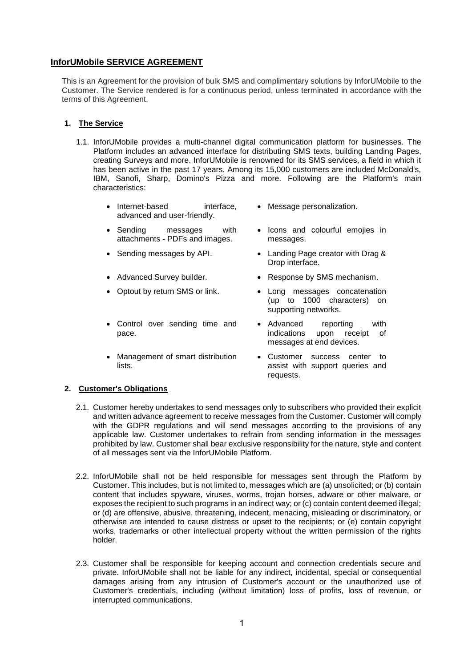# **InforUMobile SERVICE AGREEMENT**

This is an Agreement for the provision of bulk SMS and complimentary solutions by InforUMobile to the Customer. The Service rendered is for a continuous period, unless terminated in accordance with the terms of this Agreement.

### **1. The Service**

- 1.1. InforUMobile provides a multi-channel digital communication platform for businesses. The Platform includes an advanced interface for distributing SMS texts, building Landing Pages, creating Surveys and more. InforUMobile is renowned for its SMS services, a field in which it has been active in the past 17 years. Among its 15,000 customers are included McDonald's, IBM, Sanofi, Sharp, Domino's Pizza and more. Following are the Platform's main characteristics:
	- Internet-based interface, advanced and user-friendly.
	- Sending messages with attachments - PDFs and images.
	-
	-
	-
	- Control over sending time and pace.
	- Management of smart distribution lists.
- Message personalization.
- Icons and colourful emojies in messages.
- Sending messages by API. Landing Page creator with Drag & Drop interface.
- Advanced Survey builder. <br>• Response by SMS mechanism.
- Optout by return SMS or link.  $\bullet$  Long messages concatenation (up to 1000 characters) on supporting networks.
	- Advanced reporting with indications upon receipt of messages at end devices.
	- Customer success center to assist with support queries and requests.

## **2. Customer's Obligations**

- 2.1. Customer hereby undertakes to send messages only to subscribers who provided their explicit and written advance agreement to receive messages from the Customer. Customer will comply with the GDPR regulations and will send messages according to the provisions of any applicable law. Customer undertakes to refrain from sending information in the messages prohibited by law. Customer shall bear exclusive responsibility for the nature, style and content of all messages sent via the InforUMobile Platform.
- 2.2. InforUMobile shall not be held responsible for messages sent through the Platform by Customer. This includes, but is not limited to, messages which are (a) unsolicited; or (b) contain content that includes spyware, viruses, worms, trojan horses, adware or other malware, or exposes the recipient to such programs in an indirect way; or (c) contain content deemed illegal; or (d) are offensive, abusive, threatening, indecent, menacing, misleading or discriminatory, or otherwise are intended to cause distress or upset to the recipients; or (e) contain copyright works, trademarks or other intellectual property without the written permission of the rights holder.
- 2.3. Customer shall be responsible for keeping account and connection credentials secure and private. InforUMobile shall not be liable for any indirect, incidental, special or consequential damages arising from any intrusion of Customer's account or the unauthorized use of Customer's credentials, including (without limitation) loss of profits, loss of revenue, or interrupted communications.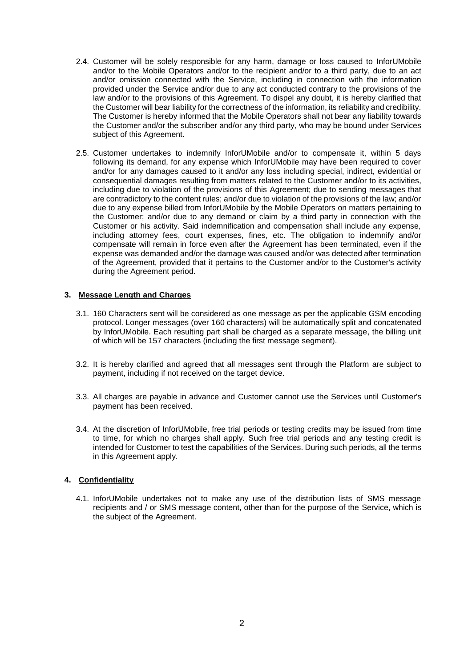- 2.4. Customer will be solely responsible for any harm, damage or loss caused to InforUMobile and/or to the Mobile Operators and/or to the recipient and/or to a third party, due to an act and/or omission connected with the Service, including in connection with the information provided under the Service and/or due to any act conducted contrary to the provisions of the law and/or to the provisions of this Agreement. To dispel any doubt, it is hereby clarified that the Customer will bear liability for the correctness of the information, its reliability and credibility. The Customer is hereby informed that the Mobile Operators shall not bear any liability towards the Customer and/or the subscriber and/or any third party, who may be bound under Services subject of this Agreement.
- 2.5. Customer undertakes to indemnify InforUMobile and/or to compensate it, within 5 days following its demand, for any expense which InforUMobile may have been required to cover and/or for any damages caused to it and/or any loss including special, indirect, evidential or consequential damages resulting from matters related to the Customer and/or to its activities, including due to violation of the provisions of this Agreement; due to sending messages that are contradictory to the content rules; and/or due to violation of the provisions of the law; and/or due to any expense billed from InforUMobile by the Mobile Operators on matters pertaining to the Customer; and/or due to any demand or claim by a third party in connection with the Customer or his activity. Said indemnification and compensation shall include any expense, including attorney fees, court expenses, fines, etc. The obligation to indemnify and/or compensate will remain in force even after the Agreement has been terminated, even if the expense was demanded and/or the damage was caused and/or was detected after termination of the Agreement, provided that it pertains to the Customer and/or to the Customer's activity during the Agreement period.

### **3. Message Length and Charges**

- 3.1. 160 Characters sent will be considered as one message as per the applicable GSM encoding protocol. Longer messages (over 160 characters) will be automatically split and concatenated by InforUMobile. Each resulting part shall be charged as a separate message, the billing unit of which will be 157 characters (including the first message segment).
- 3.2. It is hereby clarified and agreed that all messages sent through the Platform are subject to payment, including if not received on the target device.
- 3.3. All charges are payable in advance and Customer cannot use the Services until Customer's payment has been received.
- 3.4. At the discretion of InforUMobile, free trial periods or testing credits may be issued from time to time, for which no charges shall apply. Such free trial periods and any testing credit is intended for Customer to test the capabilities of the Services. During such periods, all the terms in this Agreement apply.

#### **4. Confidentiality**

4.1. InforUMobile undertakes not to make any use of the distribution lists of SMS message recipients and / or SMS message content, other than for the purpose of the Service, which is the subject of the Agreement.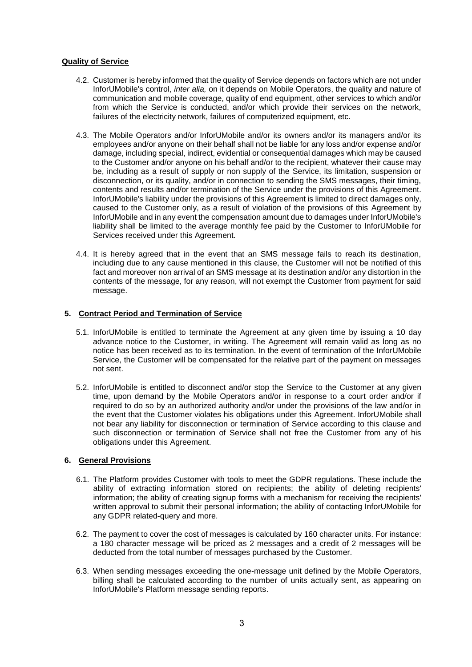## **Quality of Service**

- 4.2. Customer is hereby informed that the quality of Service depends on factors which are not under InforUMobile's control, *inter alia,* on it depends on Mobile Operators, the quality and nature of communication and mobile coverage, quality of end equipment, other services to which and/or from which the Service is conducted, and/or which provide their services on the network, failures of the electricity network, failures of computerized equipment, etc.
- 4.3. The Mobile Operators and/or InforUMobile and/or its owners and/or its managers and/or its employees and/or anyone on their behalf shall not be liable for any loss and/or expense and/or damage, including special, indirect, evidential or consequential damages which may be caused to the Customer and/or anyone on his behalf and/or to the recipient, whatever their cause may be, including as a result of supply or non supply of the Service, its limitation, suspension or disconnection, or its quality, and/or in connection to sending the SMS messages, their timing, contents and results and/or termination of the Service under the provisions of this Agreement. InforUMobile's liability under the provisions of this Agreement is limited to direct damages only, caused to the Customer only, as a result of violation of the provisions of this Agreement by InforUMobile and in any event the compensation amount due to damages under InforUMobile's liability shall be limited to the average monthly fee paid by the Customer to InforUMobile for Services received under this Agreement.
- 4.4. It is hereby agreed that in the event that an SMS message fails to reach its destination, including due to any cause mentioned in this clause, the Customer will not be notified of this fact and moreover non arrival of an SMS message at its destination and/or any distortion in the contents of the message, for any reason, will not exempt the Customer from payment for said message.

#### **5. Contract Period and Termination of Service**

- 5.1. InforUMobile is entitled to terminate the Agreement at any given time by issuing a 10 day advance notice to the Customer, in writing. The Agreement will remain valid as long as no notice has been received as to its termination. In the event of termination of the InforUMobile Service, the Customer will be compensated for the relative part of the payment on messages not sent.
- 5.2. InforUMobile is entitled to disconnect and/or stop the Service to the Customer at any given time, upon demand by the Mobile Operators and/or in response to a court order and/or if required to do so by an authorized authority and/or under the provisions of the law and/or in the event that the Customer violates his obligations under this Agreement. InforUMobile shall not bear any liability for disconnection or termination of Service according to this clause and such disconnection or termination of Service shall not free the Customer from any of his obligations under this Agreement.

#### **6. General Provisions**

- 6.1. The Platform provides Customer with tools to meet the GDPR regulations. These include the ability of extracting information stored on recipients; the ability of deleting recipients' information; the ability of creating signup forms with a mechanism for receiving the recipients' written approval to submit their personal information; the ability of contacting InforUMobile for any GDPR related-query and more.
- 6.2. The payment to cover the cost of messages is calculated by 160 character units. For instance: a 180 character message will be priced as 2 messages and a credit of 2 messages will be deducted from the total number of messages purchased by the Customer.
- 6.3. When sending messages exceeding the one-message unit defined by the Mobile Operators, billing shall be calculated according to the number of units actually sent, as appearing on InforUMobile's Platform message sending reports.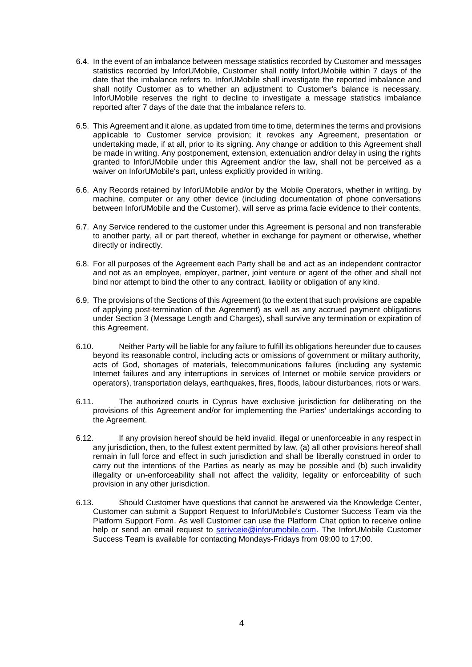- 6.4. In the event of an imbalance between message statistics recorded by Customer and messages statistics recorded by InforUMobile, Customer shall notify InforUMobile within 7 days of the date that the imbalance refers to. InforUMobile shall investigate the reported imbalance and shall notify Customer as to whether an adjustment to Customer's balance is necessary. InforUMobile reserves the right to decline to investigate a message statistics imbalance reported after 7 days of the date that the imbalance refers to.
- 6.5. This Agreement and it alone, as updated from time to time, determines the terms and provisions applicable to Customer service provision; it revokes any Agreement, presentation or undertaking made, if at all, prior to its signing. Any change or addition to this Agreement shall be made in writing. Any postponement, extension, extenuation and/or delay in using the rights granted to InforUMobile under this Agreement and/or the law, shall not be perceived as a waiver on InforUMobile's part, unless explicitly provided in writing.
- 6.6. Any Records retained by InforUMobile and/or by the Mobile Operators, whether in writing, by machine, computer or any other device (including documentation of phone conversations between InforUMobile and the Customer), will serve as prima facie evidence to their contents.
- 6.7. Any Service rendered to the customer under this Agreement is personal and non transferable to another party, all or part thereof, whether in exchange for payment or otherwise, whether directly or indirectly.
- 6.8. For all purposes of the Agreement each Party shall be and act as an independent contractor and not as an employee, employer, partner, joint venture or agent of the other and shall not bind nor attempt to bind the other to any contract, liability or obligation of any kind.
- 6.9. The provisions of the Sections of this Agreement (to the extent that such provisions are capable of applying post-termination of the Agreement) as well as any accrued payment obligations under Section 3 (Message Length and Charges), shall survive any termination or expiration of this Agreement.
- 6.10. Neither Party will be liable for any failure to fulfill its obligations hereunder due to causes beyond its reasonable control, including acts or omissions of government or military authority, acts of God, shortages of materials, telecommunications failures (including any systemic Internet failures and any interruptions in services of Internet or mobile service providers or operators), transportation delays, earthquakes, fires, floods, labour disturbances, riots or wars.
- 6.11. The authorized courts in Cyprus have exclusive jurisdiction for deliberating on the provisions of this Agreement and/or for implementing the Parties' undertakings according to the Agreement.
- 6.12. If any provision hereof should be held invalid, illegal or unenforceable in any respect in any jurisdiction, then, to the fullest extent permitted by law, (a) all other provisions hereof shall remain in full force and effect in such jurisdiction and shall be liberally construed in order to carry out the intentions of the Parties as nearly as may be possible and (b) such invalidity illegality or un-enforceability shall not affect the validity, legality or enforceability of such provision in any other jurisdiction.
- 6.13. Should Customer have questions that cannot be answered via the Knowledge Center, Customer can submit a Support Request to InforUMobile's Customer Success Team via the Platform Support Form. As well Customer can use the Platform Chat option to receive online help or send an email request to **serivceie@inforumobile.com**. The InforUMobile Customer Success Team is available for contacting Mondays-Fridays from 09:00 to 17:00.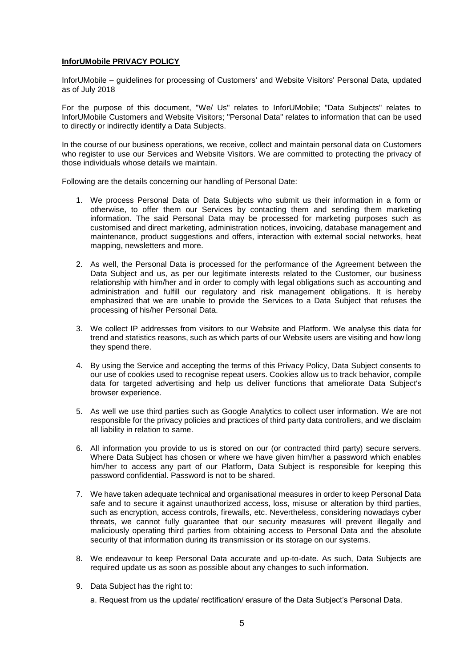#### **InforUMobile PRIVACY POLICY**

InforUMobile – guidelines for processing of Customers' and Website Visitors' Personal Data, updated as of July 2018

For the purpose of this document, "We/ Us" relates to InforUMobile; "Data Subjects" relates to InforUMobile Customers and Website Visitors; "Personal Data" relates to information that can be used to directly or indirectly identify a Data Subjects.

In the course of our business operations, we receive, collect and maintain personal data on Customers who register to use our Services and Website Visitors. We are committed to protecting the privacy of those individuals whose details we maintain.

Following are the details concerning our handling of Personal Date:

- 1. We process Personal Data of Data Subjects who submit us their information in a form or otherwise, to offer them our Services by contacting them and sending them marketing information. The said Personal Data may be processed for marketing purposes such as customised and direct marketing, administration notices, invoicing, database management and maintenance, product suggestions and offers, interaction with external social networks, heat mapping, newsletters and more.
- 2. As well, the Personal Data is processed for the performance of the Agreement between the Data Subject and us, as per our legitimate interests related to the Customer, our business relationship with him/her and in order to comply with legal obligations such as accounting and administration and fulfill our regulatory and risk management obligations. It is hereby emphasized that we are unable to provide the Services to a Data Subject that refuses the processing of his/her Personal Data.
- 3. We collect IP addresses from visitors to our Website and Platform. We analyse this data for trend and statistics reasons, such as which parts of our Website users are visiting and how long they spend there.
- 4. By using the Service and accepting the terms of this Privacy Policy, Data Subject consents to our use of cookies used to recognise repeat users. Cookies allow us to track behavior, compile data for targeted advertising and help us deliver functions that ameliorate Data Subject's browser experience.
- 5. As well we use third parties such as Google Analytics to collect user information. We are not responsible for the privacy policies and practices of third party data controllers, and we disclaim all liability in relation to same.
- 6. All information you provide to us is stored on our (or contracted third party) secure servers. Where Data Subject has chosen or where we have given him/her a password which enables him/her to access any part of our Platform, Data Subject is responsible for keeping this password confidential. Password is not to be shared.
- 7. We have taken adequate technical and organisational measures in order to keep Personal Data safe and to secure it against unauthorized access, loss, misuse or alteration by third parties, such as encryption, access controls, firewalls, etc. Nevertheless, considering nowadays cyber threats, we cannot fully guarantee that our security measures will prevent illegally and maliciously operating third parties from obtaining access to Personal Data and the absolute security of that information during its transmission or its storage on our systems.
- 8. We endeavour to keep Personal Data accurate and up-to-date. As such, Data Subjects are required update us as soon as possible about any changes to such information.
- 9. Data Subject has the right to:

a. Request from us the update/ rectification/ erasure of the Data Subject's Personal Data.